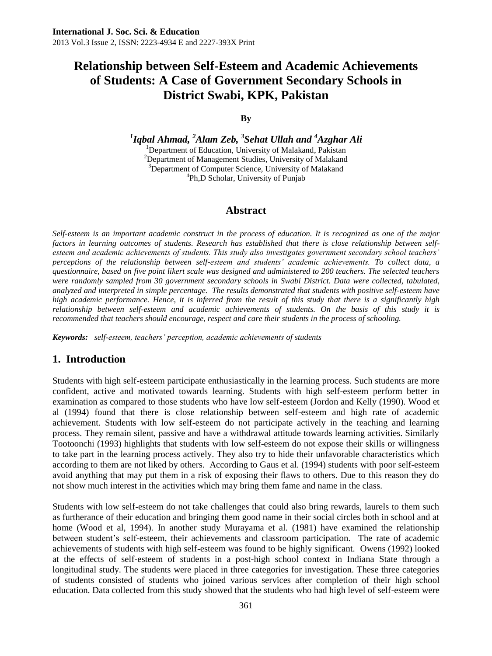#### **By**

*1 Iqbal Ahmad, <sup>2</sup>Alam Zeb, <sup>3</sup> Sehat Ullah and <sup>4</sup>Azghar Ali* <sup>1</sup>Department of Education, University of Malakand, Pakistan <sup>2</sup>Department of Management Studies, University of Malakand <sup>3</sup>Department of Computer Science, University of Malakand 4 Ph,D Scholar, University of Punjab

### **Abstract**

*Self-esteem is an important academic construct in the process of education. It is recognized as one of the major factors in learning outcomes of students. Research has established that there is close relationship between selfesteem and academic achievements of students. This study also investigates government secondary school teachers' perceptions of the relationship between self-esteem and students' academic achievements. To collect data, a questionnaire, based on five point likert scale was designed and administered to 200 teachers. The selected teachers were randomly sampled from 30 government secondary schools in Swabi District. Data were collected, tabulated, analyzed and interpreted in simple percentage. The results demonstrated that students with positive self-esteem have high academic performance. Hence, it is inferred from the result of this study that there is a significantly high relationship between self-esteem and academic achievements of students. On the basis of this study it is recommended that teachers should encourage, respect and care their students in the process of schooling.* 

*Keywords: self-esteem, teachers' perception, academic achievements of students* 

### **1. Introduction**

Students with high self-esteem participate enthusiastically in the learning process. Such students are more confident, active and motivated towards learning. Students with high self-esteem perform better in examination as compared to those students who have low self-esteem (Jordon and Kelly (1990). Wood et al (1994) found that there is close relationship between self-esteem and high rate of academic achievement. Students with low self-esteem do not participate actively in the teaching and learning process. They remain silent, passive and have a withdrawal attitude towards learning activities. Similarly Tootoonchi (1993) highlights that students with low self-esteem do not expose their skills or willingness to take part in the learning process actively. They also try to hide their unfavorable characteristics which according to them are not liked by others. According to Gaus et al. (1994) students with poor self-esteem avoid anything that may put them in a risk of exposing their flaws to others. Due to this reason they do not show much interest in the activities which may bring them fame and name in the class.

Students with low self-esteem do not take challenges that could also bring rewards, laurels to them such as furtherance of their education and bringing them good name in their social circles both in school and at home (Wood et al, 1994). In another study Murayama et al. (1981) have examined the relationship between student's self-esteem, their achievements and classroom participation. The rate of academic achievements of students with high self-esteem was found to be highly significant. Owens (1992) looked at the effects of self-esteem of students in a post-high school context in Indiana State through a longitudinal study. The students were placed in three categories for investigation. These three categories of students consisted of students who joined various services after completion of their high school education. Data collected from this study showed that the students who had high level of self-esteem were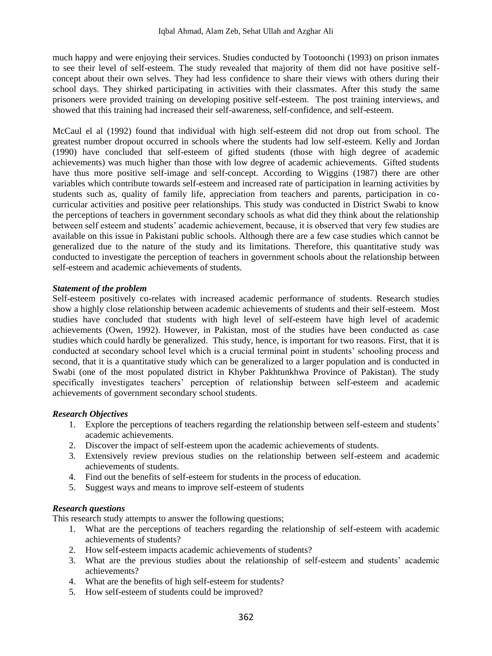much happy and were enjoying their services. Studies conducted by Tootoonchi (1993) on prison inmates to see their level of self-esteem. The study revealed that majority of them did not have positive selfconcept about their own selves. They had less confidence to share their views with others during their school days. They shirked participating in activities with their classmates. After this study the same prisoners were provided training on developing positive self-esteem. The post training interviews, and showed that this training had increased their self-awareness, self-confidence, and self-esteem.

McCaul el al (1992) found that individual with high self-esteem did not drop out from school. The greatest number dropout occurred in schools where the students had low self-esteem. Kelly and Jordan (1990) have concluded that self-esteem of gifted students (those with high degree of academic achievements) was much higher than those with low degree of academic achievements. Gifted students have thus more positive self-image and self-concept. According to Wiggins (1987) there are other variables which contribute towards self-esteem and increased rate of participation in learning activities by students such as, quality of family life, appreciation from teachers and parents, participation in cocurricular activities and positive peer relationships. This study was conducted in District Swabi to know the perceptions of teachers in government secondary schools as what did they think about the relationship between self esteem and students' academic achievement, because, it is observed that very few studies are available on this issue in Pakistani public schools. Although there are a few case studies which cannot be generalized due to the nature of the study and its limitations. Therefore, this quantitative study was conducted to investigate the perception of teachers in government schools about the relationship between self-esteem and academic achievements of students.

#### *Statement of the problem*

Self-esteem positively co-relates with increased academic performance of students. Research studies show a highly close relationship between academic achievements of students and their self-esteem. Most studies have concluded that students with high level of self-esteem have high level of academic achievements (Owen, 1992). However, in Pakistan, most of the studies have been conducted as case studies which could hardly be generalized. This study, hence, is important for two reasons. First, that it is conducted at secondary school level which is a crucial terminal point in students' schooling process and second, that it is a quantitative study which can be generalized to a larger population and is conducted in Swabi (one of the most populated district in Khyber Pakhtunkhwa Province of Pakistan). The study specifically investigates teachers' perception of relationship between self-esteem and academic achievements of government secondary school students.

### *Research Objectives*

- 1. Explore the perceptions of teachers regarding the relationship between self-esteem and students' academic achievements.
- 2. Discover the impact of self-esteem upon the academic achievements of students.
- 3. Extensively review previous studies on the relationship between self-esteem and academic achievements of students.
- 4. Find out the benefits of self-esteem for students in the process of education.
- 5. Suggest ways and means to improve self-esteem of students

#### *Research questions*

This research study attempts to answer the following questions;

- 1. What are the perceptions of teachers regarding the relationship of self-esteem with academic achievements of students?
- 2. How self-esteem impacts academic achievements of students?
- 3. What are the previous studies about the relationship of self-esteem and students' academic achievements?
- 4. What are the benefits of high self-esteem for students?
- 5. How self-esteem of students could be improved?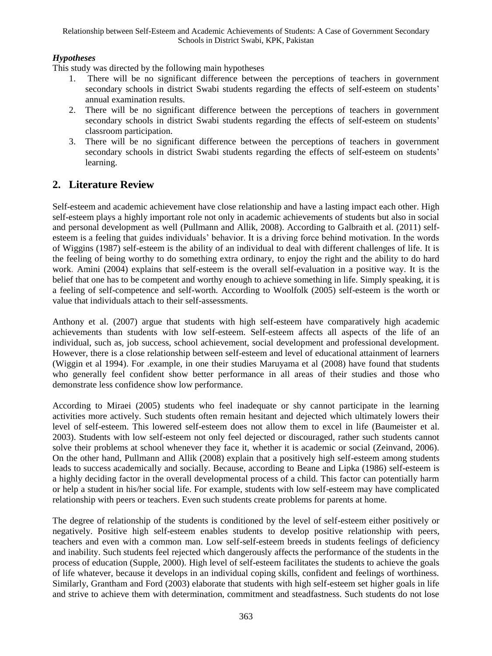### *Hypotheses*

This study was directed by the following main hypotheses

- 1. There will be no significant difference between the perceptions of teachers in government secondary schools in district Swabi students regarding the effects of self-esteem on students' annual examination results.
- 2. There will be no significant difference between the perceptions of teachers in government secondary schools in district Swabi students regarding the effects of self-esteem on students' classroom participation.
- 3. There will be no significant difference between the perceptions of teachers in government secondary schools in district Swabi students regarding the effects of self-esteem on students' learning.

## **2. Literature Review**

Self-esteem and academic achievement have close relationship and have a lasting impact each other. High self-esteem plays a highly important role not only in academic achievements of students but also in social and personal development as well (Pullmann and Allik, 2008). According to Galbraith et al. (2011) selfesteem is a feeling that guides individuals' behavior. It is a driving force behind motivation. In the words of Wiggins (1987) self-esteem is the ability of an individual to deal with different challenges of life. It is the feeling of being worthy to do something extra ordinary, to enjoy the right and the ability to do hard work. Amini (2004) explains that self-esteem is the overall self-evaluation in a positive way. It is the belief that one has to be competent and worthy enough to achieve something in life. Simply speaking, it is a feeling of self-competence and self-worth. According to Woolfolk (2005) self-esteem is the worth or value that individuals attach to their self-assessments.

Anthony et al. (2007) argue that students with high self-esteem have comparatively high academic achievements than students with low self-esteem. Self-esteem affects all aspects of the life of an individual, such as, job success, school achievement, social development and professional development. However, there is a close relationship between self-esteem and level of educational attainment of learners (Wiggin et al 1994). For .example, in one their studies Maruyama et al (2008) have found that students who generally feel confident show better performance in all areas of their studies and those who demonstrate less confidence show low performance.

According to Miraei (2005) students who feel inadequate or shy cannot participate in the learning activities more actively. Such students often remain hesitant and dejected which ultimately lowers their level of self-esteem. This lowered self-esteem does not allow them to excel in life (Baumeister et al. 2003). Students with low self-esteem not only feel dejected or discouraged, rather such students cannot solve their problems at school whenever they face it, whether it is academic or social (Zeinvand, 2006). On the other hand, Pullmann and Allik (2008) explain that a positively high self-esteem among students leads to success academically and socially. Because, according to Beane and Lipka (1986) self-esteem is a highly deciding factor in the overall developmental process of a child. This factor can potentially harm or help a student in his/her social life. For example, students with low self-esteem may have complicated relationship with peers or teachers. Even such students create problems for parents at home.

The degree of relationship of the students is conditioned by the level of self-esteem either positively or negatively. Positive high self-esteem enables students to develop positive relationship with peers, teachers and even with a common man. Low self-self-esteem breeds in students feelings of deficiency and inability. Such students feel rejected which dangerously affects the performance of the students in the process of education (Supple, 2000). High level of self-esteem facilitates the students to achieve the goals of life whatever, because it develops in an individual coping skills, confident and feelings of worthiness. Similarly, Grantham and Ford (2003) elaborate that students with high self-esteem set higher goals in life and strive to achieve them with determination, commitment and steadfastness. Such students do not lose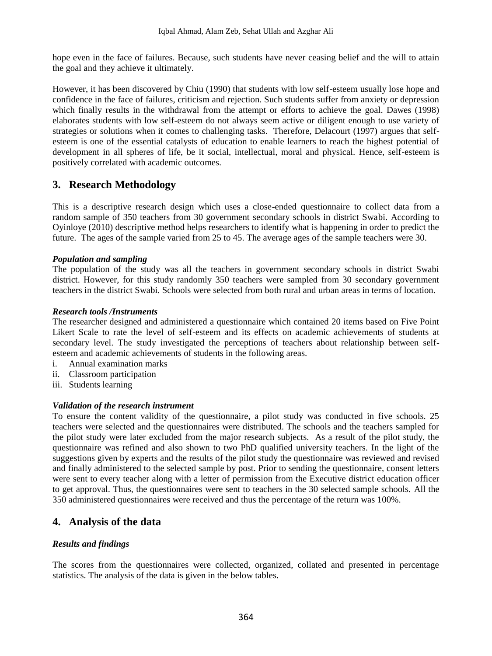hope even in the face of failures. Because, such students have never ceasing belief and the will to attain the goal and they achieve it ultimately.

However, it has been discovered by Chiu (1990) that students with low self-esteem usually lose hope and confidence in the face of failures, criticism and rejection. Such students suffer from anxiety or depression which finally results in the withdrawal from the attempt or efforts to achieve the goal. Dawes (1998) elaborates students with low self-esteem do not always seem active or diligent enough to use variety of strategies or solutions when it comes to challenging tasks. Therefore, Delacourt (1997) argues that selfesteem is one of the essential catalysts of education to enable learners to reach the highest potential of development in all spheres of life, be it social, intellectual, moral and physical. Hence, self-esteem is positively correlated with academic outcomes.

## **3. Research Methodology**

This is a descriptive research design which uses a close-ended questionnaire to collect data from a random sample of 350 teachers from 30 government secondary schools in district Swabi. According to Oyinloye (2010) descriptive method helps researchers to identify what is happening in order to predict the future. The ages of the sample varied from 25 to 45. The average ages of the sample teachers were 30.

### *Population and sampling*

The population of the study was all the teachers in government secondary schools in district Swabi district. However, for this study randomly 350 teachers were sampled from 30 secondary government teachers in the district Swabi. Schools were selected from both rural and urban areas in terms of location.

### *Research tools /Instruments*

The researcher designed and administered a questionnaire which contained 20 items based on Five Point Likert Scale to rate the level of self-esteem and its effects on academic achievements of students at secondary level. The study investigated the perceptions of teachers about relationship between selfesteem and academic achievements of students in the following areas.

- i. Annual examination marks
- ii. Classroom participation
- iii. Students learning

### *Validation of the research instrument*

To ensure the content validity of the questionnaire, a pilot study was conducted in five schools. 25 teachers were selected and the questionnaires were distributed. The schools and the teachers sampled for the pilot study were later excluded from the major research subjects. As a result of the pilot study, the questionnaire was refined and also shown to two PhD qualified university teachers. In the light of the suggestions given by experts and the results of the pilot study the questionnaire was reviewed and revised and finally administered to the selected sample by post. Prior to sending the questionnaire, consent letters were sent to every teacher along with a letter of permission from the Executive district education officer to get approval. Thus, the questionnaires were sent to teachers in the 30 selected sample schools. All the 350 administered questionnaires were received and thus the percentage of the return was 100%.

### **4. Analysis of the data**

### *Results and findings*

The scores from the questionnaires were collected, organized, collated and presented in percentage statistics. The analysis of the data is given in the below tables.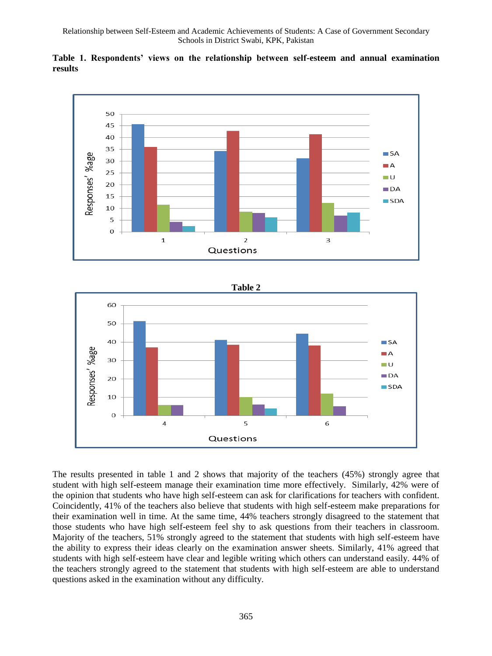

**Table 1. Respondents' views on the relationship between self-esteem and annual examination results** 



The results presented in table 1 and 2 shows that majority of the teachers (45%) strongly agree that student with high self-esteem manage their examination time more effectively. Similarly, 42% were of the opinion that students who have high self-esteem can ask for clarifications for teachers with confident. Coincidently, 41% of the teachers also believe that students with high self-esteem make preparations for their examination well in time. At the same time, 44% teachers strongly disagreed to the statement that those students who have high self-esteem feel shy to ask questions from their teachers in classroom. Majority of the teachers, 51% strongly agreed to the statement that students with high self-esteem have the ability to express their ideas clearly on the examination answer sheets. Similarly, 41% agreed that students with high self-esteem have clear and legible writing which others can understand easily. 44% of the teachers strongly agreed to the statement that students with high self-esteem are able to understand questions asked in the examination without any difficulty.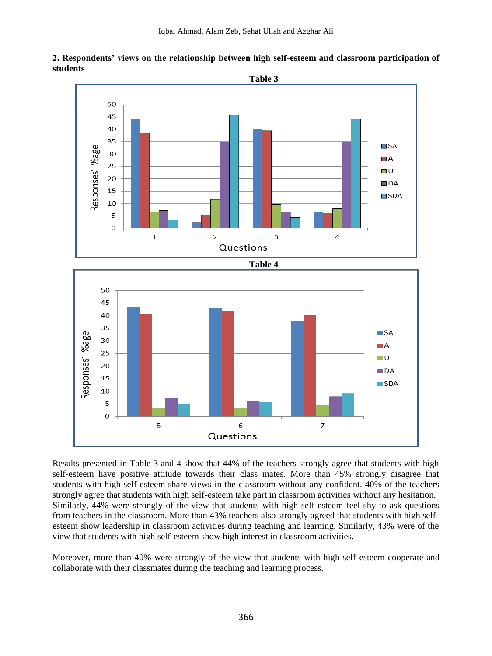



Results presented in Table 3 and 4 show that 44% of the teachers strongly agree that students with high self-esteem have positive attitude towards their class mates. More than 45% strongly disagree that students with high self-esteem share views in the classroom without any confident. 40% of the teachers strongly agree that students with high self-esteem take part in classroom activities without any hesitation. Similarly, 44% were strongly of the view that students with high self-esteem feel shy to ask questions from teachers in the classroom. More than 43% teachers also strongly agreed that students with high selfesteem show leadership in classroom activities during teaching and learning. Similarly, 43% were of the view that students with high self-esteem show high interest in classroom activities.

Moreover, more than 40% were strongly of the view that students with high self-esteem cooperate and collaborate with their classmates during the teaching and learning process.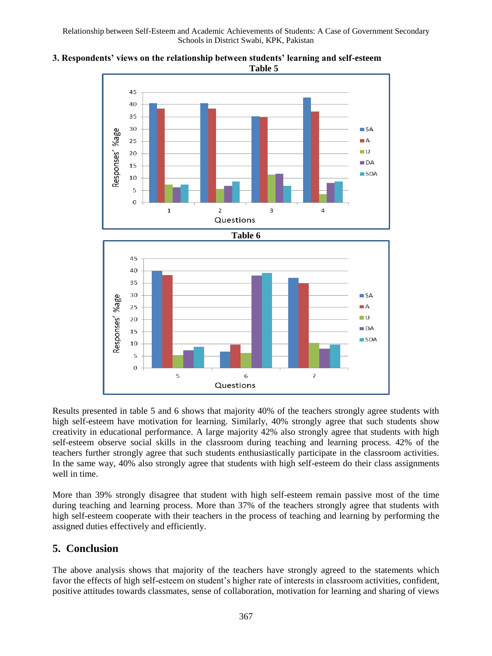



Results presented in table 5 and 6 shows that majority 40% of the teachers strongly agree students with high self-esteem have motivation for learning. Similarly, 40% strongly agree that such students show creativity in educational performance. A large majority 42% also strongly agree that students with high self-esteem observe social skills in the classroom during teaching and learning process. 42% of the teachers further strongly agree that such students enthusiastically participate in the classroom activities. In the same way, 40% also strongly agree that students with high self-esteem do their class assignments well in time.

More than 39% strongly disagree that student with high self-esteem remain passive most of the time during teaching and learning process. More than 37% of the teachers strongly agree that students with high self-esteem cooperate with their teachers in the process of teaching and learning by performing the assigned duties effectively and efficiently.

## **5. Conclusion**

The above analysis shows that majority of the teachers have strongly agreed to the statements which favor the effects of high self-esteem on student's higher rate of interests in classroom activities, confident, positive attitudes towards classmates, sense of collaboration, motivation for learning and sharing of views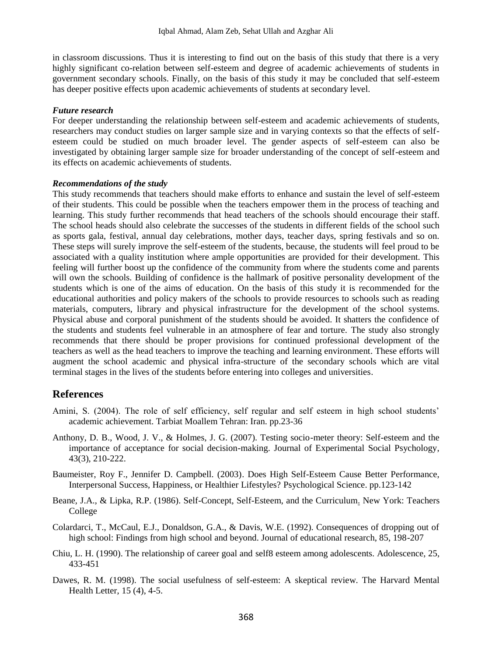in classroom discussions. Thus it is interesting to find out on the basis of this study that there is a very highly significant co-relation between self-esteem and degree of academic achievements of students in government secondary schools. Finally, on the basis of this study it may be concluded that self-esteem has deeper positive effects upon academic achievements of students at secondary level.

#### *Future research*

For deeper understanding the relationship between self-esteem and academic achievements of students, researchers may conduct studies on larger sample size and in varying contexts so that the effects of selfesteem could be studied on much broader level. The gender aspects of self-esteem can also be investigated by obtaining larger sample size for broader understanding of the concept of self-esteem and its effects on academic achievements of students.

#### *Recommendations of the study*

This study recommends that teachers should make efforts to enhance and sustain the level of self-esteem of their students. This could be possible when the teachers empower them in the process of teaching and learning. This study further recommends that head teachers of the schools should encourage their staff. The school heads should also celebrate the successes of the students in different fields of the school such as sports gala, festival, annual day celebrations, mother days, teacher days, spring festivals and so on. These steps will surely improve the self-esteem of the students, because, the students will feel proud to be associated with a quality institution where ample opportunities are provided for their development. This feeling will further boost up the confidence of the community from where the students come and parents will own the schools. Building of confidence is the hallmark of positive personality development of the students which is one of the aims of education. On the basis of this study it is recommended for the educational authorities and policy makers of the schools to provide resources to schools such as reading materials, computers, library and physical infrastructure for the development of the school systems. Physical abuse and corporal punishment of the students should be avoided. It shatters the confidence of the students and students feel vulnerable in an atmosphere of fear and torture. The study also strongly recommends that there should be proper provisions for continued professional development of the teachers as well as the head teachers to improve the teaching and learning environment. These efforts will augment the school academic and physical infra-structure of the secondary schools which are vital terminal stages in the lives of the students before entering into colleges and universities.

### **References**

- Amini, S. (2004). The role of self efficiency, self regular and self esteem in high school students' academic achievement. Tarbiat Moallem Tehran: Iran. pp.23-36
- Anthony, D. B., Wood, J. V., & Holmes, J. G. (2007). Testing socio-meter theory: Self-esteem and the importance of acceptance for social decision-making. Journal of Experimental Social Psychology, 43(3), 210-222.
- Baumeister, Roy F., Jennifer D. Campbell. (2003). Does High Self-Esteem Cause Better Performance, Interpersonal Success, Happiness, or Healthier Lifestyles? Psychological Science. pp.123-142
- Beane, J.A., & Lipka, R.P. (1986). Self-Concept, Self-Esteem, and the Curriculum. New York: Teachers College
- Colardarci, T., McCaul, E.J., Donaldson, G.A., & Davis, W.E. (1992). Consequences of dropping out of high school: Findings from high school and beyond. Journal of educational research, 85, 198-207
- Chiu, L. H. (1990). The relationship of career goal and self8 esteem among adolescents. Adolescence, 25, 433-451
- Dawes, R. M. (1998). The social usefulness of self-esteem: A skeptical review. The Harvard Mental Health Letter, 15 (4), 4-5.